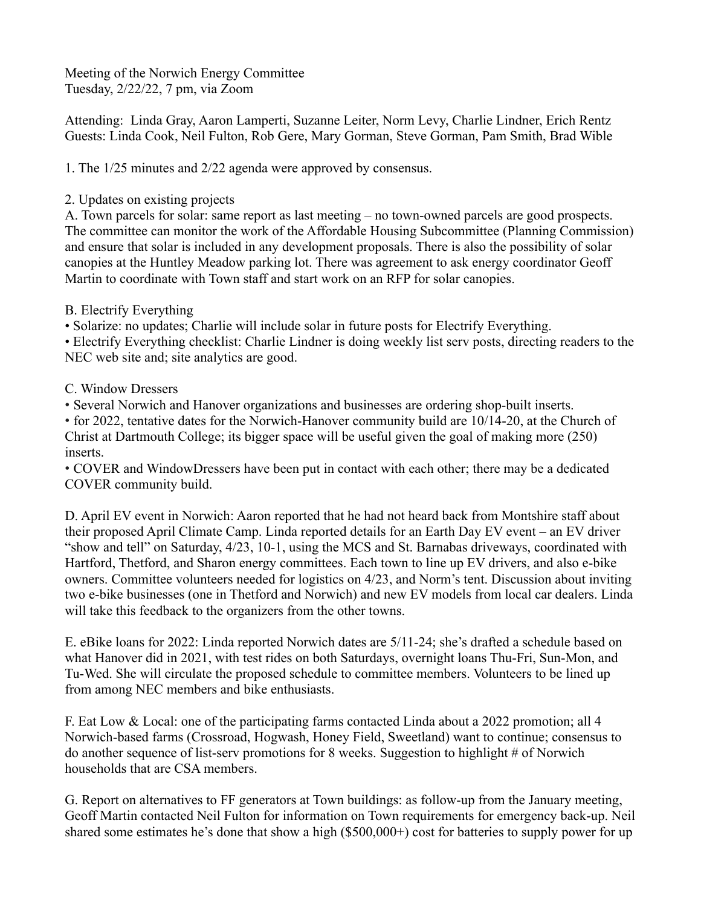Meeting of the Norwich Energy Committee Tuesday, 2/22/22, 7 pm, via Zoom

Attending: Linda Gray, Aaron Lamperti, Suzanne Leiter, Norm Levy, Charlie Lindner, Erich Rentz Guests: Linda Cook, Neil Fulton, Rob Gere, Mary Gorman, Steve Gorman, Pam Smith, Brad Wible

1. The 1/25 minutes and 2/22 agenda were approved by consensus.

## 2. Updates on existing projects

A. Town parcels for solar: same report as last meeting – no town-owned parcels are good prospects. The committee can monitor the work of the Affordable Housing Subcommittee (Planning Commission) and ensure that solar is included in any development proposals. There is also the possibility of solar canopies at the Huntley Meadow parking lot. There was agreement to ask energy coordinator Geoff Martin to coordinate with Town staff and start work on an RFP for solar canopies.

## B. Electrify Everything

• Solarize: no updates; Charlie will include solar in future posts for Electrify Everything.

• Electrify Everything checklist: Charlie Lindner is doing weekly list serv posts, directing readers to the NEC web site and; site analytics are good.

## C. Window Dressers

• Several Norwich and Hanover organizations and businesses are ordering shop-built inserts.

• for 2022, tentative dates for the Norwich-Hanover community build are 10/14-20, at the Church of Christ at Dartmouth College; its bigger space will be useful given the goal of making more (250) inserts.

• COVER and WindowDressers have been put in contact with each other; there may be a dedicated COVER community build.

D. April EV event in Norwich: Aaron reported that he had not heard back from Montshire staff about their proposed April Climate Camp. Linda reported details for an Earth Day EV event – an EV driver "show and tell" on Saturday, 4/23, 10-1, using the MCS and St. Barnabas driveways, coordinated with Hartford, Thetford, and Sharon energy committees. Each town to line up EV drivers, and also e-bike owners. Committee volunteers needed for logistics on 4/23, and Norm's tent. Discussion about inviting two e-bike businesses (one in Thetford and Norwich) and new EV models from local car dealers. Linda will take this feedback to the organizers from the other towns.

E. eBike loans for 2022: Linda reported Norwich dates are 5/11-24; she's drafted a schedule based on what Hanover did in 2021, with test rides on both Saturdays, overnight loans Thu-Fri, Sun-Mon, and Tu-Wed. She will circulate the proposed schedule to committee members. Volunteers to be lined up from among NEC members and bike enthusiasts.

F. Eat Low & Local: one of the participating farms contacted Linda about a 2022 promotion; all 4 Norwich-based farms (Crossroad, Hogwash, Honey Field, Sweetland) want to continue; consensus to do another sequence of list-serv promotions for 8 weeks. Suggestion to highlight # of Norwich households that are CSA members.

G. Report on alternatives to FF generators at Town buildings: as follow-up from the January meeting, Geoff Martin contacted Neil Fulton for information on Town requirements for emergency back-up. Neil shared some estimates he's done that show a high (\$500,000+) cost for batteries to supply power for up